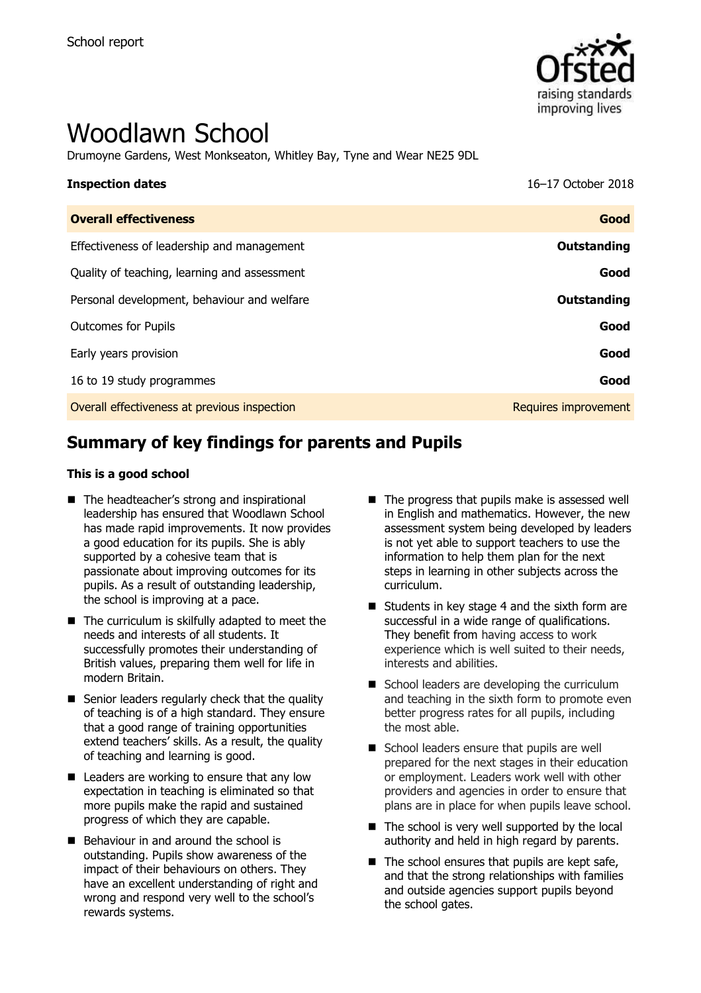

# Woodlawn School

Drumoyne Gardens, West Monkseaton, Whitley Bay, Tyne and Wear NE25 9DL

| <b>Inspection dates</b>                      | 16-17 October 2018   |
|----------------------------------------------|----------------------|
| <b>Overall effectiveness</b>                 | Good                 |
| Effectiveness of leadership and management   | Outstanding          |
| Quality of teaching, learning and assessment | Good                 |
| Personal development, behaviour and welfare  | Outstanding          |
| <b>Outcomes for Pupils</b>                   | Good                 |
| Early years provision                        | Good                 |
| 16 to 19 study programmes                    | Good                 |
| Overall effectiveness at previous inspection | Requires improvement |

# **Summary of key findings for parents and Pupils**

#### **This is a good school**

- The headteacher's strong and inspirational leadership has ensured that Woodlawn School has made rapid improvements. It now provides a good education for its pupils. She is ably supported by a cohesive team that is passionate about improving outcomes for its pupils. As a result of outstanding leadership, the school is improving at a pace.
- The curriculum is skilfully adapted to meet the needs and interests of all students. It successfully promotes their understanding of British values, preparing them well for life in modern Britain.
- Senior leaders regularly check that the quality of teaching is of a high standard. They ensure that a good range of training opportunities extend teachers' skills. As a result, the quality of teaching and learning is good.
- $\blacksquare$  Leaders are working to ensure that any low expectation in teaching is eliminated so that more pupils make the rapid and sustained progress of which they are capable.
- Behaviour in and around the school is outstanding. Pupils show awareness of the impact of their behaviours on others. They have an excellent understanding of right and wrong and respond very well to the school's rewards systems.
- $\blacksquare$  The progress that pupils make is assessed well in English and mathematics. However, the new assessment system being developed by leaders is not yet able to support teachers to use the information to help them plan for the next steps in learning in other subjects across the curriculum.
- Students in key stage 4 and the sixth form are successful in a wide range of qualifications. They benefit from having access to work experience which is well suited to their needs, interests and abilities.
- School leaders are developing the curriculum and teaching in the sixth form to promote even better progress rates for all pupils, including the most able.
- School leaders ensure that pupils are well prepared for the next stages in their education or employment. Leaders work well with other providers and agencies in order to ensure that plans are in place for when pupils leave school.
- $\blacksquare$  The school is very well supported by the local authority and held in high regard by parents.
- $\blacksquare$  The school ensures that pupils are kept safe, and that the strong relationships with families and outside agencies support pupils beyond the school gates.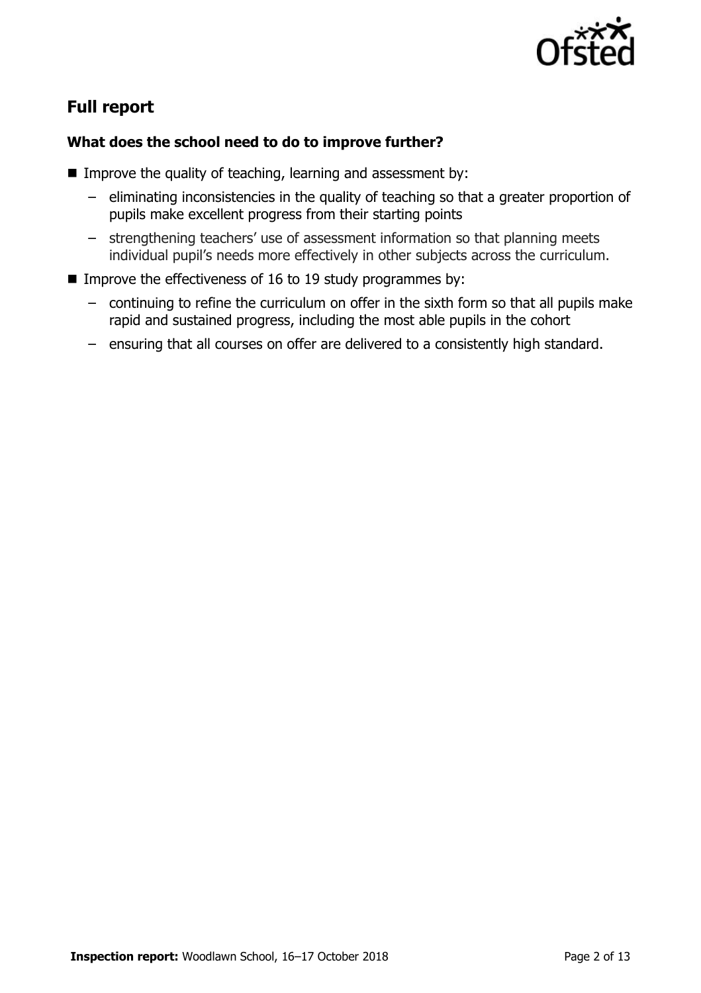

# **Full report**

### **What does the school need to do to improve further?**

- Improve the quality of teaching, learning and assessment by:
	- eliminating inconsistencies in the quality of teaching so that a greater proportion of pupils make excellent progress from their starting points
	- strengthening teachers' use of assessment information so that planning meets individual pupil's needs more effectively in other subjects across the curriculum.
- Improve the effectiveness of 16 to 19 study programmes by:
	- continuing to refine the curriculum on offer in the sixth form so that all pupils make rapid and sustained progress, including the most able pupils in the cohort
	- ensuring that all courses on offer are delivered to a consistently high standard.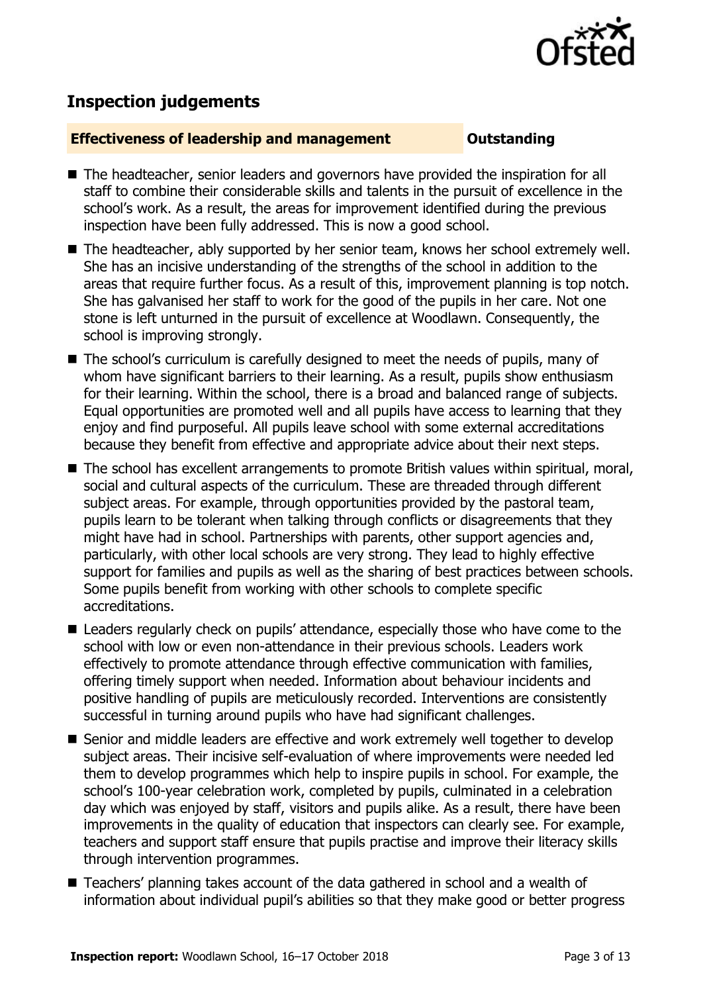

## **Inspection judgements**

#### **Effectiveness of leadership and management Constanding**

- The headteacher, senior leaders and governors have provided the inspiration for all staff to combine their considerable skills and talents in the pursuit of excellence in the school's work. As a result, the areas for improvement identified during the previous inspection have been fully addressed. This is now a good school.
- The headteacher, ably supported by her senior team, knows her school extremely well. She has an incisive understanding of the strengths of the school in addition to the areas that require further focus. As a result of this, improvement planning is top notch. She has galvanised her staff to work for the good of the pupils in her care. Not one stone is left unturned in the pursuit of excellence at Woodlawn. Consequently, the school is improving strongly.
- The school's curriculum is carefully designed to meet the needs of pupils, many of whom have significant barriers to their learning. As a result, pupils show enthusiasm for their learning. Within the school, there is a broad and balanced range of subjects. Equal opportunities are promoted well and all pupils have access to learning that they enjoy and find purposeful. All pupils leave school with some external accreditations because they benefit from effective and appropriate advice about their next steps.
- The school has excellent arrangements to promote British values within spiritual, moral, social and cultural aspects of the curriculum. These are threaded through different subject areas. For example, through opportunities provided by the pastoral team, pupils learn to be tolerant when talking through conflicts or disagreements that they might have had in school. Partnerships with parents, other support agencies and, particularly, with other local schools are very strong. They lead to highly effective support for families and pupils as well as the sharing of best practices between schools. Some pupils benefit from working with other schools to complete specific accreditations.
- Leaders regularly check on pupils' attendance, especially those who have come to the school with low or even non-attendance in their previous schools. Leaders work effectively to promote attendance through effective communication with families, offering timely support when needed. Information about behaviour incidents and positive handling of pupils are meticulously recorded. Interventions are consistently successful in turning around pupils who have had significant challenges.
- Senior and middle leaders are effective and work extremely well together to develop subject areas. Their incisive self-evaluation of where improvements were needed led them to develop programmes which help to inspire pupils in school. For example, the school's 100-year celebration work, completed by pupils, culminated in a celebration day which was enjoyed by staff, visitors and pupils alike. As a result, there have been improvements in the quality of education that inspectors can clearly see. For example, teachers and support staff ensure that pupils practise and improve their literacy skills through intervention programmes.
- Teachers' planning takes account of the data gathered in school and a wealth of information about individual pupil's abilities so that they make good or better progress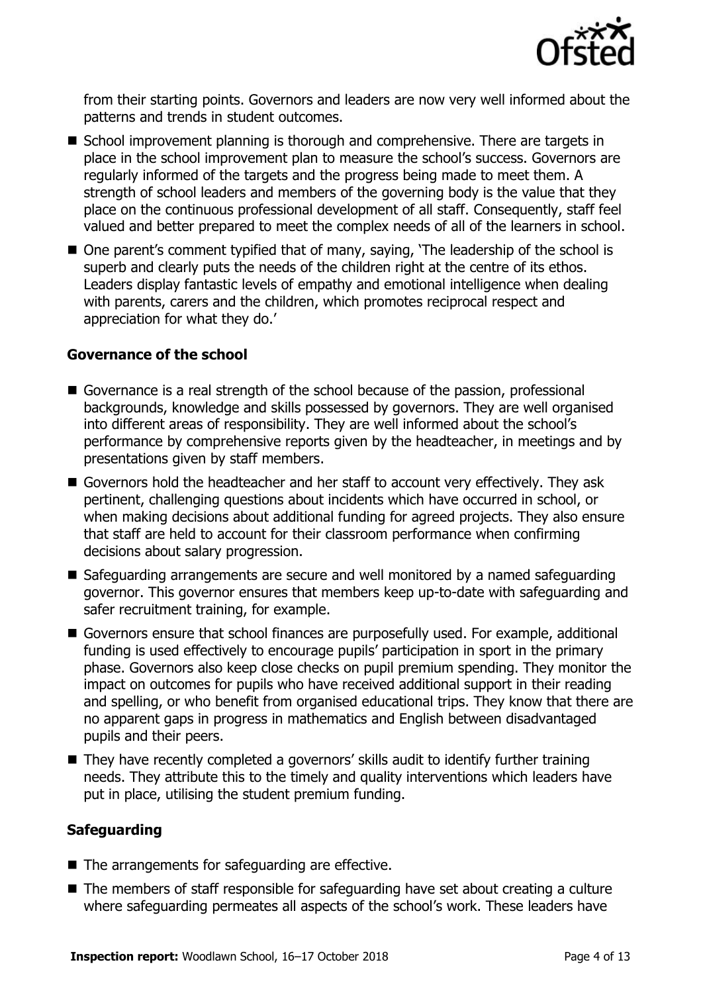

from their starting points. Governors and leaders are now very well informed about the patterns and trends in student outcomes.

- School improvement planning is thorough and comprehensive. There are targets in place in the school improvement plan to measure the school's success. Governors are regularly informed of the targets and the progress being made to meet them. A strength of school leaders and members of the governing body is the value that they place on the continuous professional development of all staff. Consequently, staff feel valued and better prepared to meet the complex needs of all of the learners in school.
- One parent's comment typified that of many, saying, 'The leadership of the school is superb and clearly puts the needs of the children right at the centre of its ethos. Leaders display fantastic levels of empathy and emotional intelligence when dealing with parents, carers and the children, which promotes reciprocal respect and appreciation for what they do.'

#### **Governance of the school**

- Governance is a real strength of the school because of the passion, professional backgrounds, knowledge and skills possessed by governors. They are well organised into different areas of responsibility. They are well informed about the school's performance by comprehensive reports given by the headteacher, in meetings and by presentations given by staff members.
- Governors hold the headteacher and her staff to account very effectively. They ask pertinent, challenging questions about incidents which have occurred in school, or when making decisions about additional funding for agreed projects. They also ensure that staff are held to account for their classroom performance when confirming decisions about salary progression.
- Safeguarding arrangements are secure and well monitored by a named safeguarding governor. This governor ensures that members keep up-to-date with safeguarding and safer recruitment training, for example.
- Governors ensure that school finances are purposefully used. For example, additional funding is used effectively to encourage pupils' participation in sport in the primary phase. Governors also keep close checks on pupil premium spending. They monitor the impact on outcomes for pupils who have received additional support in their reading and spelling, or who benefit from organised educational trips. They know that there are no apparent gaps in progress in mathematics and English between disadvantaged pupils and their peers.
- They have recently completed a governors' skills audit to identify further training needs. They attribute this to the timely and quality interventions which leaders have put in place, utilising the student premium funding.

#### **Safeguarding**

- $\blacksquare$  The arrangements for safeguarding are effective.
- The members of staff responsible for safeguarding have set about creating a culture where safeguarding permeates all aspects of the school's work. These leaders have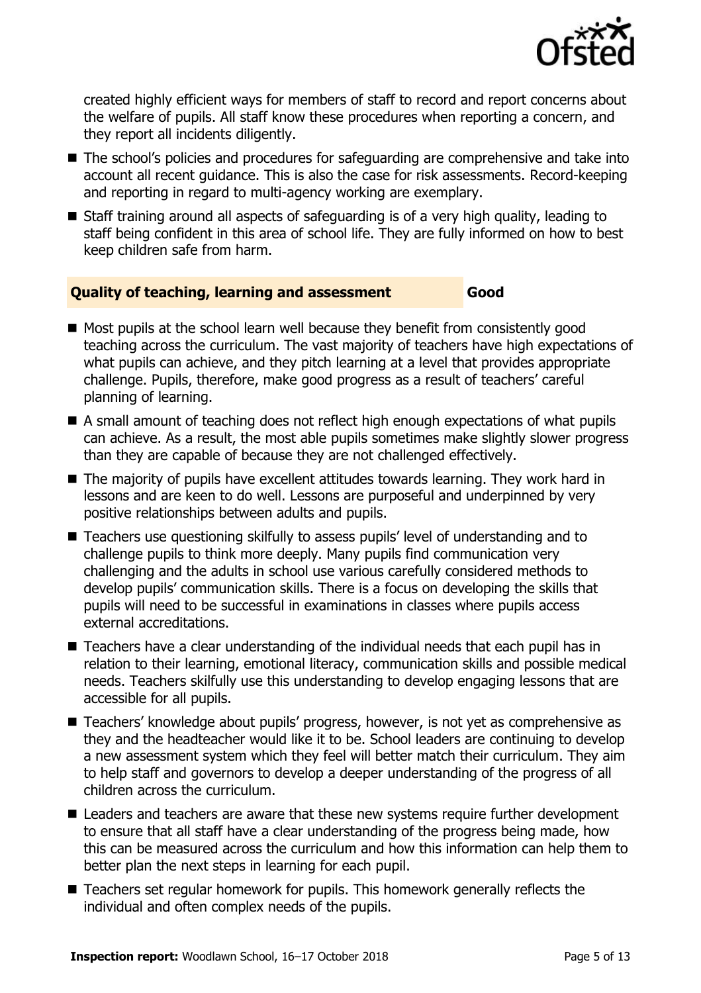

created highly efficient ways for members of staff to record and report concerns about the welfare of pupils. All staff know these procedures when reporting a concern, and they report all incidents diligently.

- The school's policies and procedures for safeguarding are comprehensive and take into account all recent guidance. This is also the case for risk assessments. Record-keeping and reporting in regard to multi-agency working are exemplary.
- Staff training around all aspects of safeguarding is of a very high quality, leading to staff being confident in this area of school life. They are fully informed on how to best keep children safe from harm.

#### **Quality of teaching, learning and assessment Good**

- Most pupils at the school learn well because they benefit from consistently good teaching across the curriculum. The vast majority of teachers have high expectations of what pupils can achieve, and they pitch learning at a level that provides appropriate challenge. Pupils, therefore, make good progress as a result of teachers' careful planning of learning.
- A small amount of teaching does not reflect high enough expectations of what pupils can achieve. As a result, the most able pupils sometimes make slightly slower progress than they are capable of because they are not challenged effectively.
- The majority of pupils have excellent attitudes towards learning. They work hard in lessons and are keen to do well. Lessons are purposeful and underpinned by very positive relationships between adults and pupils.
- Teachers use questioning skilfully to assess pupils' level of understanding and to challenge pupils to think more deeply. Many pupils find communication very challenging and the adults in school use various carefully considered methods to develop pupils' communication skills. There is a focus on developing the skills that pupils will need to be successful in examinations in classes where pupils access external accreditations.
- Teachers have a clear understanding of the individual needs that each pupil has in relation to their learning, emotional literacy, communication skills and possible medical needs. Teachers skilfully use this understanding to develop engaging lessons that are accessible for all pupils.
- Teachers' knowledge about pupils' progress, however, is not yet as comprehensive as they and the headteacher would like it to be. School leaders are continuing to develop a new assessment system which they feel will better match their curriculum. They aim to help staff and governors to develop a deeper understanding of the progress of all children across the curriculum.
- Leaders and teachers are aware that these new systems require further development to ensure that all staff have a clear understanding of the progress being made, how this can be measured across the curriculum and how this information can help them to better plan the next steps in learning for each pupil.
- Teachers set regular homework for pupils. This homework generally reflects the individual and often complex needs of the pupils.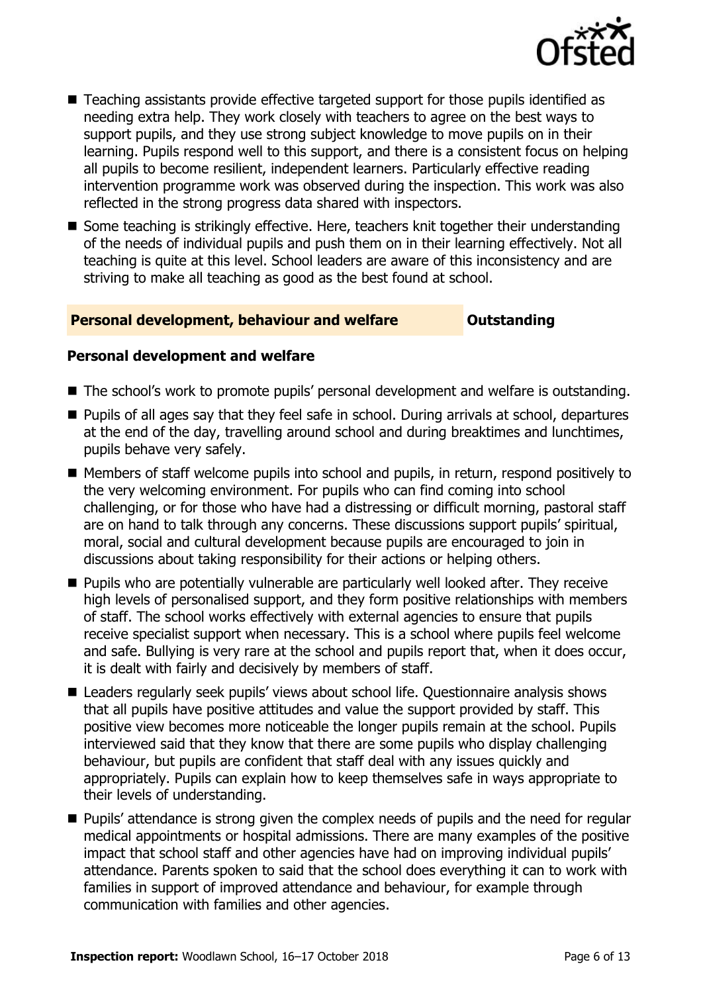

- Teaching assistants provide effective targeted support for those pupils identified as needing extra help. They work closely with teachers to agree on the best ways to support pupils, and they use strong subject knowledge to move pupils on in their learning. Pupils respond well to this support, and there is a consistent focus on helping all pupils to become resilient, independent learners. Particularly effective reading intervention programme work was observed during the inspection. This work was also reflected in the strong progress data shared with inspectors.
- Some teaching is strikingly effective. Here, teachers knit together their understanding of the needs of individual pupils and push them on in their learning effectively. Not all teaching is quite at this level. School leaders are aware of this inconsistency and are striving to make all teaching as good as the best found at school.

#### **Personal development, behaviour and welfare <b>COU** Outstanding

#### **Personal development and welfare**

- The school's work to promote pupils' personal development and welfare is outstanding.
- **Pupils of all ages say that they feel safe in school. During arrivals at school, departures** at the end of the day, travelling around school and during breaktimes and lunchtimes, pupils behave very safely.
- Members of staff welcome pupils into school and pupils, in return, respond positively to the very welcoming environment. For pupils who can find coming into school challenging, or for those who have had a distressing or difficult morning, pastoral staff are on hand to talk through any concerns. These discussions support pupils' spiritual, moral, social and cultural development because pupils are encouraged to join in discussions about taking responsibility for their actions or helping others.
- **Pupils who are potentially vulnerable are particularly well looked after. They receive** high levels of personalised support, and they form positive relationships with members of staff. The school works effectively with external agencies to ensure that pupils receive specialist support when necessary. This is a school where pupils feel welcome and safe. Bullying is very rare at the school and pupils report that, when it does occur, it is dealt with fairly and decisively by members of staff.
- Leaders regularly seek pupils' views about school life. Questionnaire analysis shows that all pupils have positive attitudes and value the support provided by staff. This positive view becomes more noticeable the longer pupils remain at the school. Pupils interviewed said that they know that there are some pupils who display challenging behaviour, but pupils are confident that staff deal with any issues quickly and appropriately. Pupils can explain how to keep themselves safe in ways appropriate to their levels of understanding.
- **Pupils' attendance is strong given the complex needs of pupils and the need for regular** medical appointments or hospital admissions. There are many examples of the positive impact that school staff and other agencies have had on improving individual pupils' attendance. Parents spoken to said that the school does everything it can to work with families in support of improved attendance and behaviour, for example through communication with families and other agencies.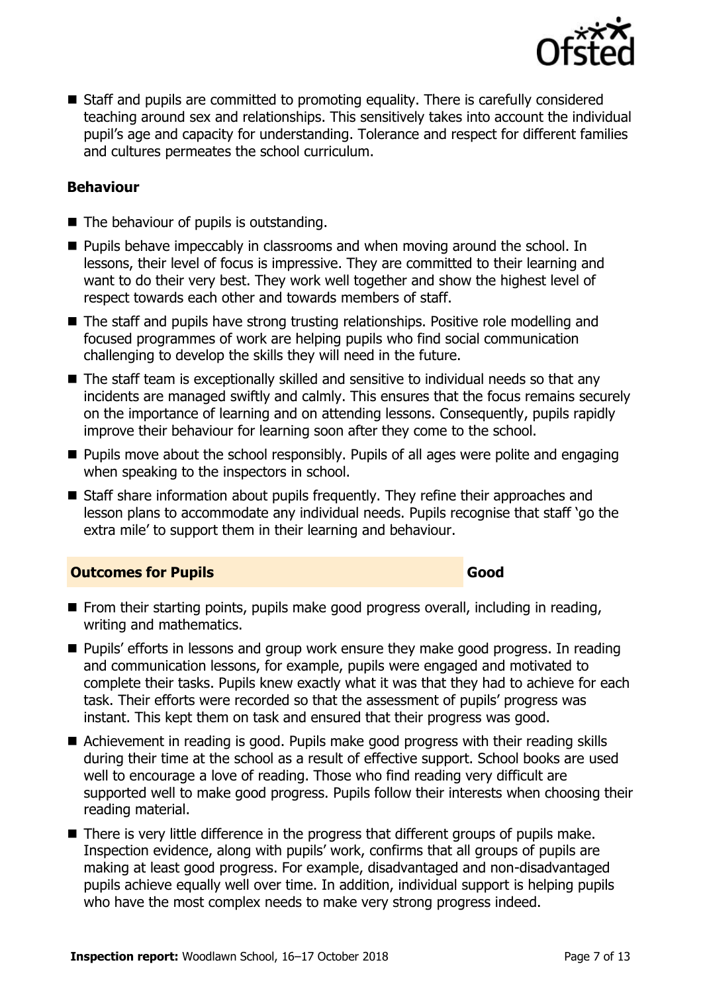

■ Staff and pupils are committed to promoting equality. There is carefully considered teaching around sex and relationships. This sensitively takes into account the individual pupil's age and capacity for understanding. Tolerance and respect for different families and cultures permeates the school curriculum.

#### **Behaviour**

- The behaviour of pupils is outstanding.
- **Pupils behave impeccably in classrooms and when moving around the school. In** lessons, their level of focus is impressive. They are committed to their learning and want to do their very best. They work well together and show the highest level of respect towards each other and towards members of staff.
- The staff and pupils have strong trusting relationships. Positive role modelling and focused programmes of work are helping pupils who find social communication challenging to develop the skills they will need in the future.
- The staff team is exceptionally skilled and sensitive to individual needs so that any incidents are managed swiftly and calmly. This ensures that the focus remains securely on the importance of learning and on attending lessons. Consequently, pupils rapidly improve their behaviour for learning soon after they come to the school.
- **Pupils move about the school responsibly. Pupils of all ages were polite and engaging** when speaking to the inspectors in school.
- Staff share information about pupils frequently. They refine their approaches and lesson plans to accommodate any individual needs. Pupils recognise that staff 'go the extra mile' to support them in their learning and behaviour.

#### **Outcomes for Pupils Good**

- **From their starting points, pupils make good progress overall, including in reading,** writing and mathematics.
- **Pupils' efforts in lessons and group work ensure they make good progress. In reading** and communication lessons, for example, pupils were engaged and motivated to complete their tasks. Pupils knew exactly what it was that they had to achieve for each task. Their efforts were recorded so that the assessment of pupils' progress was instant. This kept them on task and ensured that their progress was good.
- Achievement in reading is good. Pupils make good progress with their reading skills during their time at the school as a result of effective support. School books are used well to encourage a love of reading. Those who find reading very difficult are supported well to make good progress. Pupils follow their interests when choosing their reading material.
- There is very little difference in the progress that different groups of pupils make. Inspection evidence, along with pupils' work, confirms that all groups of pupils are making at least good progress. For example, disadvantaged and non-disadvantaged pupils achieve equally well over time. In addition, individual support is helping pupils who have the most complex needs to make very strong progress indeed.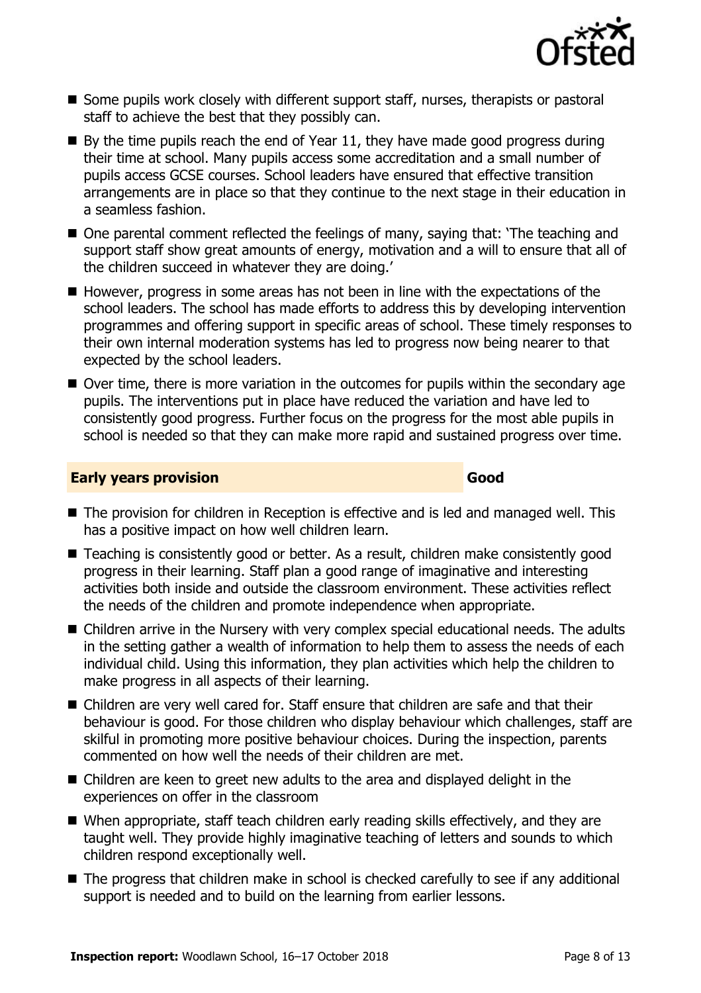

- Some pupils work closely with different support staff, nurses, therapists or pastoral staff to achieve the best that they possibly can.
- $\blacksquare$  By the time pupils reach the end of Year 11, they have made good progress during their time at school. Many pupils access some accreditation and a small number of pupils access GCSE courses. School leaders have ensured that effective transition arrangements are in place so that they continue to the next stage in their education in a seamless fashion.
- One parental comment reflected the feelings of many, saying that: 'The teaching and support staff show great amounts of energy, motivation and a will to ensure that all of the children succeed in whatever they are doing.'
- $\blacksquare$  However, progress in some areas has not been in line with the expectations of the school leaders. The school has made efforts to address this by developing intervention programmes and offering support in specific areas of school. These timely responses to their own internal moderation systems has led to progress now being nearer to that expected by the school leaders.
- Over time, there is more variation in the outcomes for pupils within the secondary age pupils. The interventions put in place have reduced the variation and have led to consistently good progress. Further focus on the progress for the most able pupils in school is needed so that they can make more rapid and sustained progress over time.

#### **Early years provision Good Good**

- The provision for children in Reception is effective and is led and managed well. This has a positive impact on how well children learn.
- Teaching is consistently good or better. As a result, children make consistently good progress in their learning. Staff plan a good range of imaginative and interesting activities both inside and outside the classroom environment. These activities reflect the needs of the children and promote independence when appropriate.
- Children arrive in the Nursery with very complex special educational needs. The adults in the setting gather a wealth of information to help them to assess the needs of each individual child. Using this information, they plan activities which help the children to make progress in all aspects of their learning.
- Children are very well cared for. Staff ensure that children are safe and that their behaviour is good. For those children who display behaviour which challenges, staff are skilful in promoting more positive behaviour choices. During the inspection, parents commented on how well the needs of their children are met.
- Children are keen to greet new adults to the area and displayed delight in the experiences on offer in the classroom
- When appropriate, staff teach children early reading skills effectively, and they are taught well. They provide highly imaginative teaching of letters and sounds to which children respond exceptionally well.
- The progress that children make in school is checked carefully to see if any additional support is needed and to build on the learning from earlier lessons.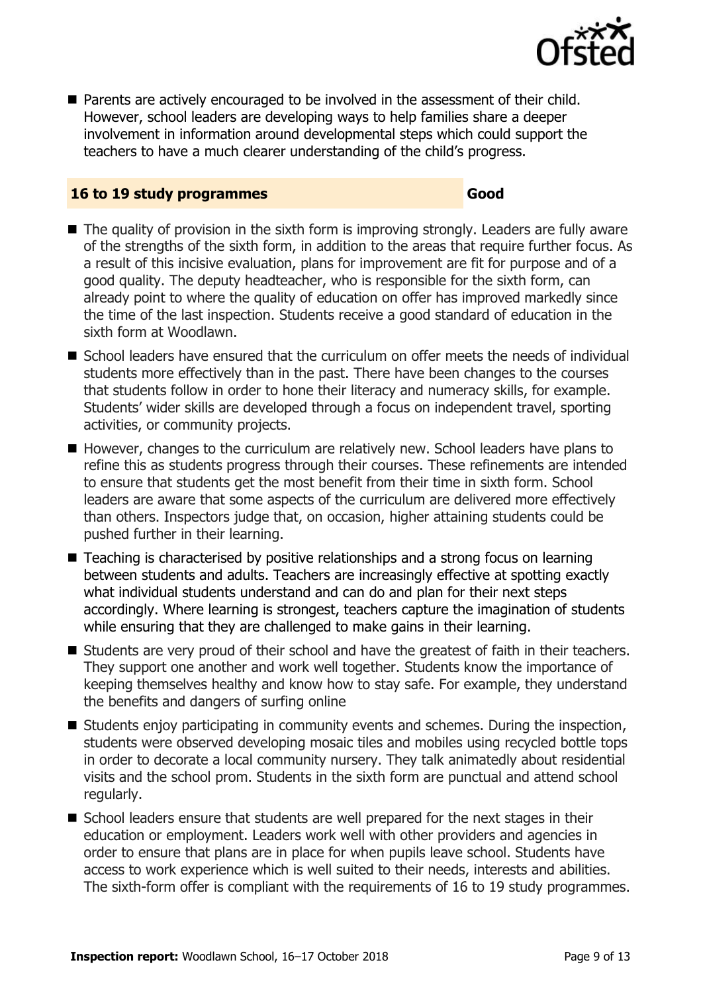

■ Parents are actively encouraged to be involved in the assessment of their child. However, school leaders are developing ways to help families share a deeper involvement in information around developmental steps which could support the teachers to have a much clearer understanding of the child's progress.

#### **16 to 19 study programmes Good**

- The quality of provision in the sixth form is improving strongly. Leaders are fully aware of the strengths of the sixth form, in addition to the areas that require further focus. As a result of this incisive evaluation, plans for improvement are fit for purpose and of a good quality. The deputy headteacher, who is responsible for the sixth form, can already point to where the quality of education on offer has improved markedly since the time of the last inspection. Students receive a good standard of education in the sixth form at Woodlawn.
- School leaders have ensured that the curriculum on offer meets the needs of individual students more effectively than in the past. There have been changes to the courses that students follow in order to hone their literacy and numeracy skills, for example. Students' wider skills are developed through a focus on independent travel, sporting activities, or community projects.
- However, changes to the curriculum are relatively new. School leaders have plans to refine this as students progress through their courses. These refinements are intended to ensure that students get the most benefit from their time in sixth form. School leaders are aware that some aspects of the curriculum are delivered more effectively than others. Inspectors judge that, on occasion, higher attaining students could be pushed further in their learning.
- Teaching is characterised by positive relationships and a strong focus on learning between students and adults. Teachers are increasingly effective at spotting exactly what individual students understand and can do and plan for their next steps accordingly. Where learning is strongest, teachers capture the imagination of students while ensuring that they are challenged to make gains in their learning.
- Students are very proud of their school and have the greatest of faith in their teachers. They support one another and work well together. Students know the importance of keeping themselves healthy and know how to stay safe. For example, they understand the benefits and dangers of surfing online
- $\blacksquare$  Students enjoy participating in community events and schemes. During the inspection, students were observed developing mosaic tiles and mobiles using recycled bottle tops in order to decorate a local community nursery. They talk animatedly about residential visits and the school prom. Students in the sixth form are punctual and attend school regularly.
- School leaders ensure that students are well prepared for the next stages in their education or employment. Leaders work well with other providers and agencies in order to ensure that plans are in place for when pupils leave school. Students have access to work experience which is well suited to their needs, interests and abilities. The sixth-form offer is compliant with the requirements of 16 to 19 study programmes.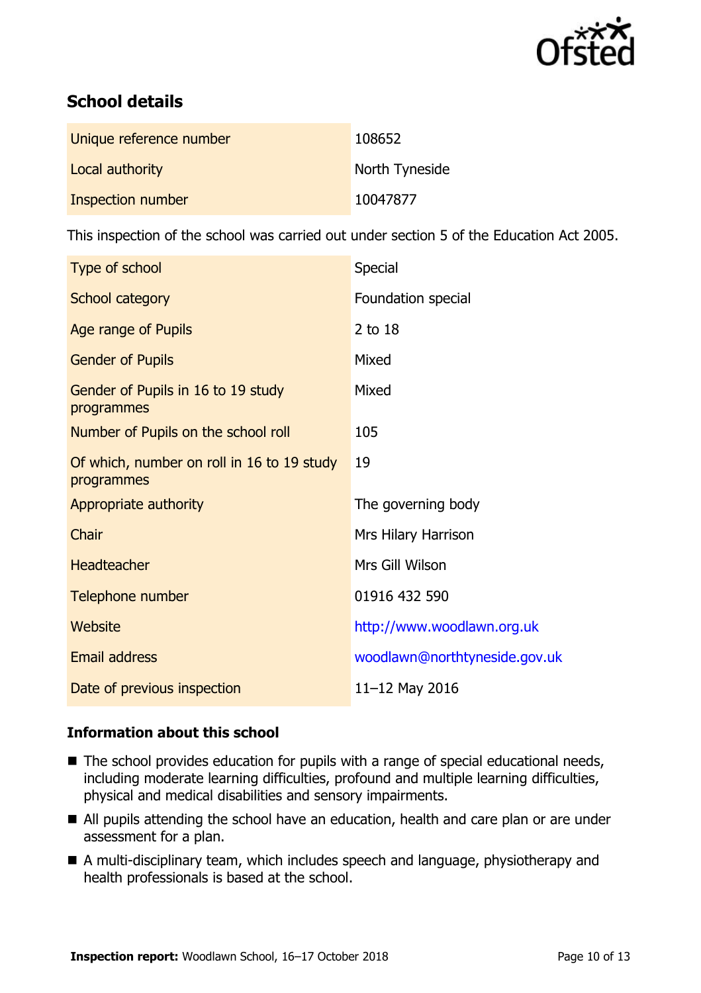

# **School details**

| Unique reference number | 108652         |
|-------------------------|----------------|
| Local authority         | North Tyneside |
| Inspection number       | 10047877       |

This inspection of the school was carried out under section 5 of the Education Act 2005.

| Type of school                                           | Special                       |
|----------------------------------------------------------|-------------------------------|
| School category                                          | Foundation special            |
| Age range of Pupils                                      | 2 to 18                       |
| <b>Gender of Pupils</b>                                  | Mixed                         |
| Gender of Pupils in 16 to 19 study<br>programmes         | Mixed                         |
| Number of Pupils on the school roll                      | 105                           |
| Of which, number on roll in 16 to 19 study<br>programmes | 19                            |
| Appropriate authority                                    | The governing body            |
| Chair                                                    | Mrs Hilary Harrison           |
| Headteacher                                              | Mrs Gill Wilson               |
| Telephone number                                         | 01916 432 590                 |
| <b>Website</b>                                           | http://www.woodlawn.org.uk    |
| <b>Email address</b>                                     | woodlawn@northtyneside.gov.uk |
| Date of previous inspection                              | 11-12 May 2016                |

### **Information about this school**

- The school provides education for pupils with a range of special educational needs, including moderate learning difficulties, profound and multiple learning difficulties, physical and medical disabilities and sensory impairments.
- All pupils attending the school have an education, health and care plan or are under assessment for a plan.
- A multi-disciplinary team, which includes speech and language, physiotherapy and health professionals is based at the school.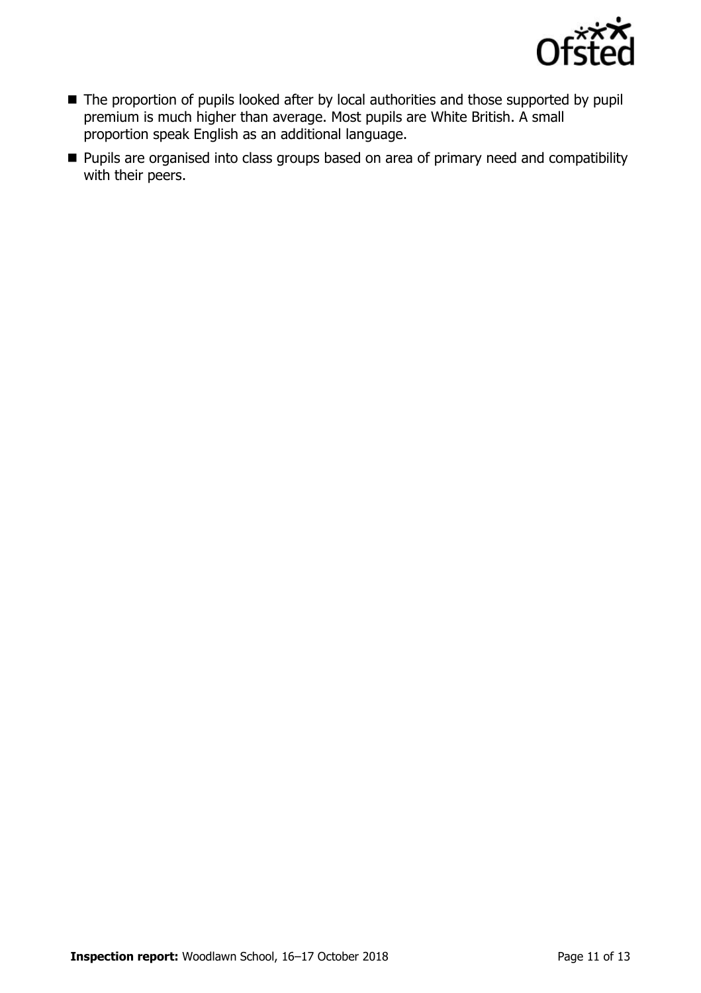

- The proportion of pupils looked after by local authorities and those supported by pupil premium is much higher than average. Most pupils are White British. A small proportion speak English as an additional language.
- **Pupils are organised into class groups based on area of primary need and compatibility** with their peers.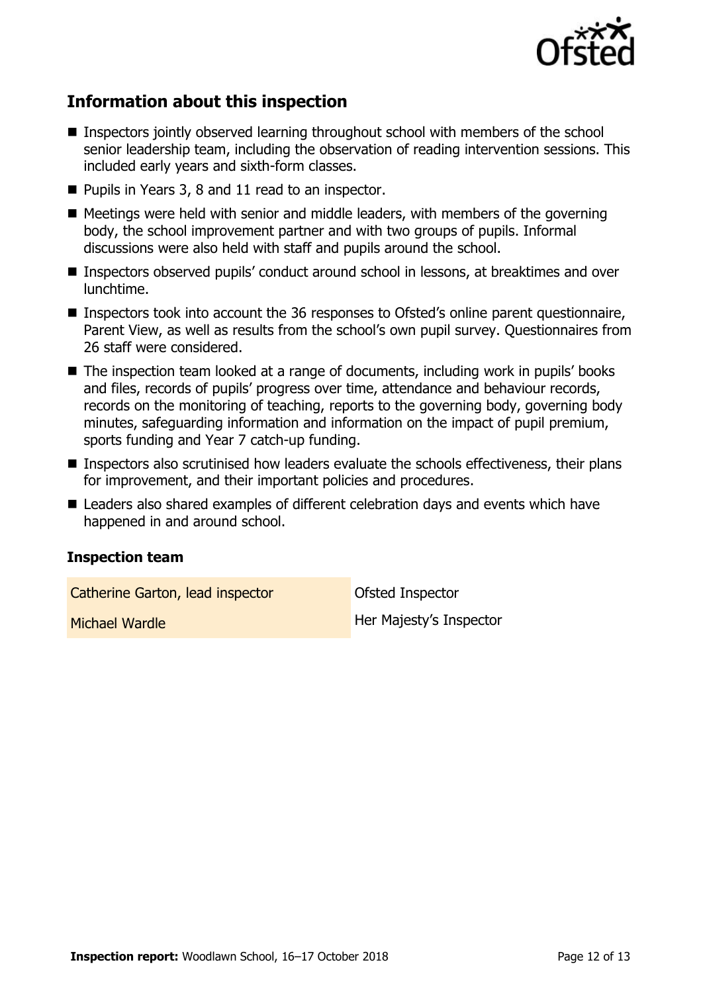

# **Information about this inspection**

- Inspectors jointly observed learning throughout school with members of the school senior leadership team, including the observation of reading intervention sessions. This included early years and sixth-form classes.
- Pupils in Years 3, 8 and 11 read to an inspector.
- $\blacksquare$  Meetings were held with senior and middle leaders, with members of the governing body, the school improvement partner and with two groups of pupils. Informal discussions were also held with staff and pupils around the school.
- **Inspectors observed pupils' conduct around school in lessons, at breaktimes and over** lunchtime.
- Inspectors took into account the 36 responses to Ofsted's online parent questionnaire, Parent View, as well as results from the school's own pupil survey. Questionnaires from 26 staff were considered.
- The inspection team looked at a range of documents, including work in pupils' books and files, records of pupils' progress over time, attendance and behaviour records, records on the monitoring of teaching, reports to the governing body, governing body minutes, safeguarding information and information on the impact of pupil premium, sports funding and Year 7 catch-up funding.
- Inspectors also scrutinised how leaders evaluate the schools effectiveness, their plans for improvement, and their important policies and procedures.
- Leaders also shared examples of different celebration days and events which have happened in and around school.

### **Inspection team**

Catherine Garton, lead inspector **Catherine Carton**, lead inspector

**Michael Wardle Her Majesty's Inspector**